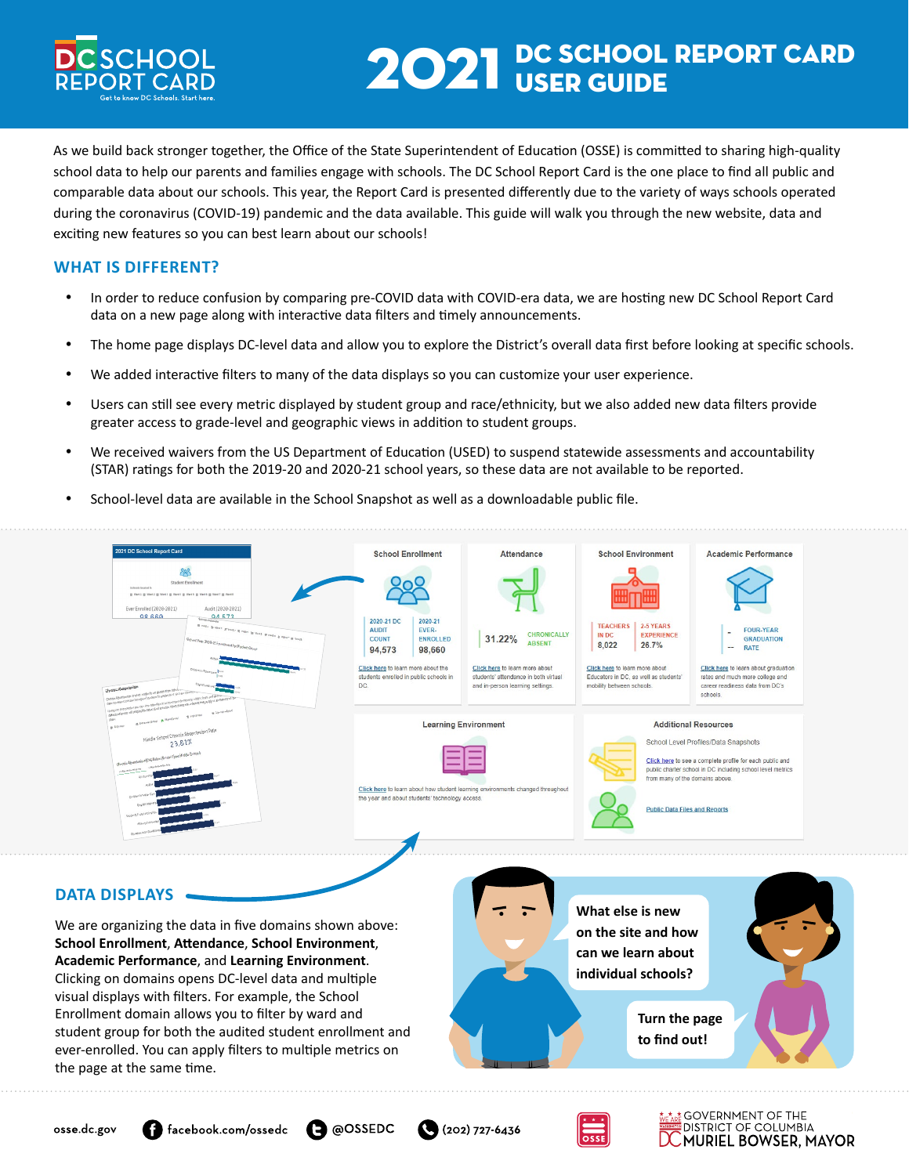

# 2021 DC SCHOOL REPORT CARD

As we build back stronger together, the Office of the State Superintendent of Education (OSSE) is committed to sharing high-quality school data to help our parents and families engage with schools. The DC School Report Card is the one place to find all public and comparable data about our schools. This year, the Report Card is presented differently due to the variety of ways schools operated during the coronavirus (COVID-19) pandemic and the data available. This guide will walk you through the new website, data and exciting new features so you can best learn about our schools!

#### **WHAT IS DIFFERENT?**

- In order to reduce confusion by comparing pre-COVID data with COVID-era data, we are hosting new DC School Report Card data on a new page along with interactive data filters and timely announcements.
- The home page displays DC-level data and allow you to explore the District's overall data first before looking at specific schools.
- • We added interactive filters to many of the data displays so you can customize your user experience.
- • Users can still see every metric displayed by student group and race/ethnicity, but we also added new data filters provide greater access to grade-level and geographic views in addition to student groups.
- We received waivers from the US Department of Education (USED) to suspend statewide assessments and accountability (STAR) ratings for both the 2019-20 and 2020-21 school years, so these data are not available to be reported.
- School-level data are available in the School Snapshot as well as a downloadable public file.



#### **DATA DISPLAYS**

We are organizing the data in five domains shown above: **School Enrollment**, **Attendance**, **School Environment**, **Academic Performance**, and **Learning Environment**. Clicking on domains opens DC-level data and multiple visual displays with filters. For example, the School Enrollment domain allows you to filter by ward and student group for both the audited student enrollment and ever-enrolled. You can apply filters to multiple metrics on the page at the same time.







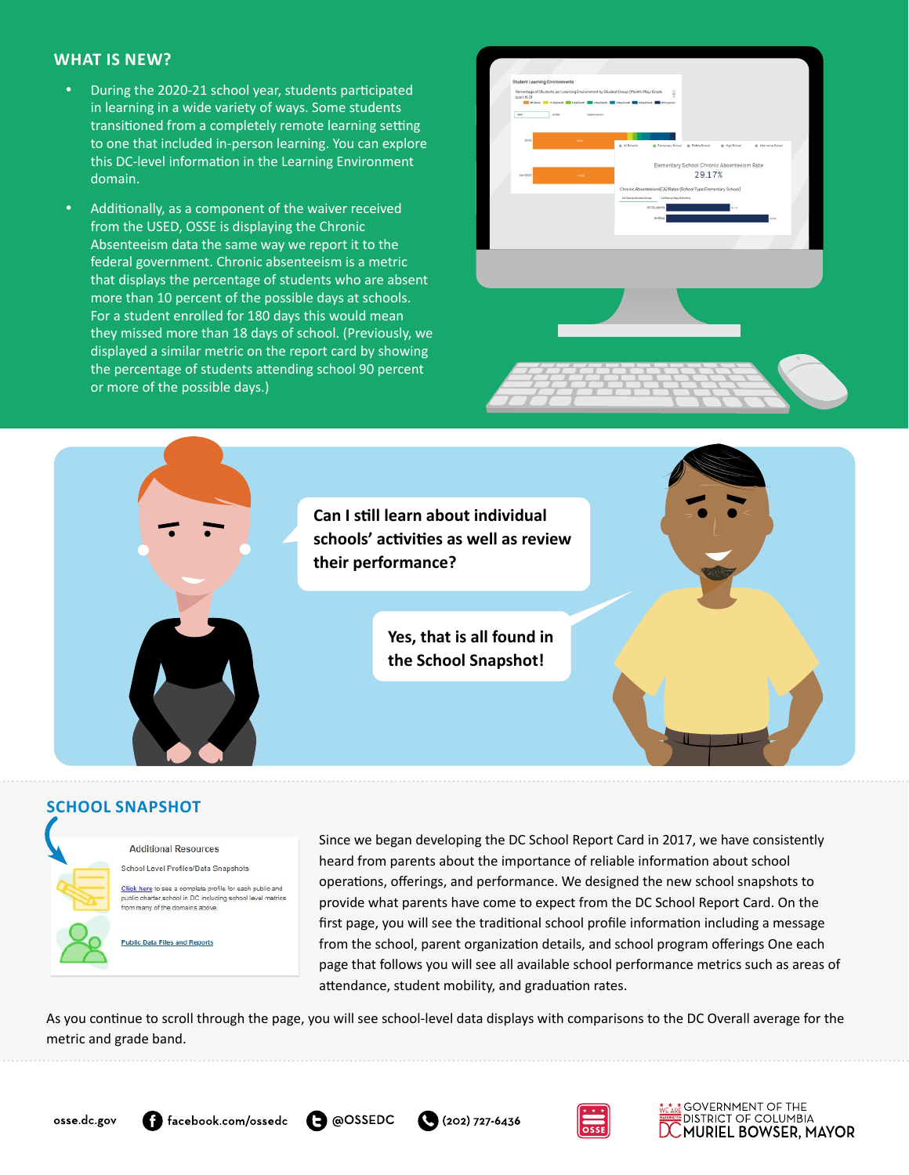#### **WHAT IS NEW?**

- • During the 2020-21 school year, students participated in learning in a wide variety of ways. Some students transitioned from a completely remote learning setting to one that included in-person learning. You can explore this DC-level information in the Learning Environment domain.
- Additionally, as a component of the waiver received from the USED, OSSE is displaying the Chronic Absenteeism data the same way we report it to the federal government. Chronic absenteeism is a metric that displays the percentage of students who are absent more than 10 percent of the possible days at schools. For a student enrolled for 180 days this would mean they missed more than 18 days of school. (Previously, we displayed a similar metric on the report card by showing the percentage of students attending school 90 percent or more of the possible days.)





## **SCHOOL SNAPSHOT**



Since we began developing the DC School Report Card in 2017, we have consistently heard from parents about the importance of reliable information about school operations, offerings, and performance. We designed the new school snapshots to provide what parents have come to expect from the DC School Report Card. On the first page, you will see the traditional school profile information including a message from the school, parent organization details, and school program offerings One each page that follows you will see all available school performance metrics such as areas of attendance, student mobility, and graduation rates.

As you continue to scroll through the page, you will see school-level data displays with comparisons to the DC Overall average for the metric and grade band.